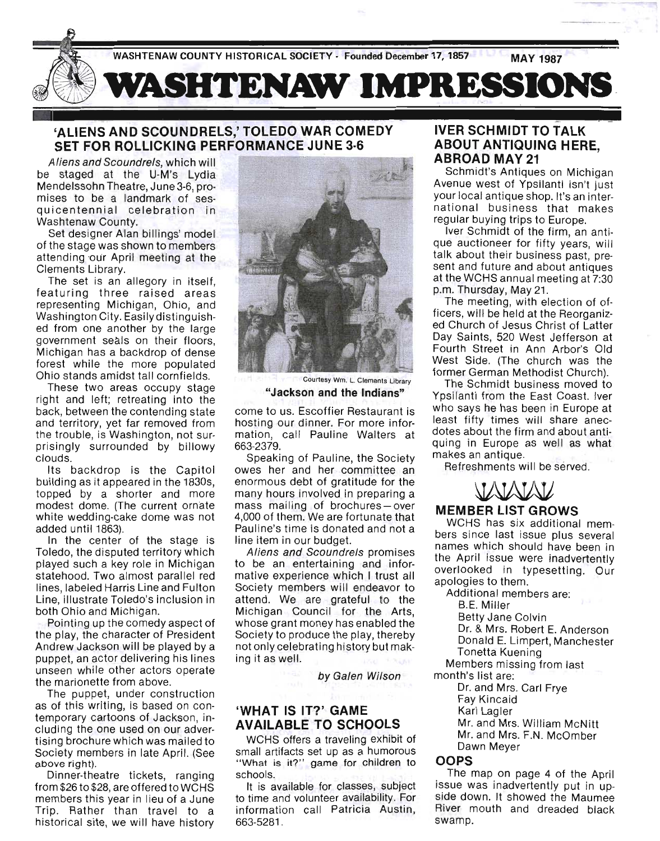

# **'ALIENS AND SCOUNDRELS,' TOLEDO WAR COMEDY SET FOR ROLLICKING PERFORMANCE JUNE 3·6**

Aliens and Scoundrels, which will be staged at the U-M's Lydia Mendelssohn Theatre, June3-6, promises to be a landmark of sesqui centennial celebration in Washtenaw County.

Set designer Alan billings' model of the stage was shown to members attending our April meeting at the Clements Library.

The set is an allegory in itself, featuring three raised areas representing Michigan, Ohio, and Washington City. Easily distinguished from one another by the large government seals on their floors, Michigan has a backdrop of dense forest while the more populated Ohio stands amidst tall cornfields.

These two areas occupy stage right and left; retreating into the back, between the contending state and territory, yet far removed from the trouble, is Washington, not surprisingly surrounded by billowy clouds.

Its backdrop is the Capitol building as it appeared in the 1830s, topped by a shorter and more modest dome. (The current ornate white wedding-cake dome was not added until 1863).

In the center of the stage is Toledo, the disputed territory which played such a key role in Michigan statehood. Two almost parallel red lines, labeled Harris Line and Fulton Line, illustrate Toledo's inclusion in both Ohio and Michigan.

POinting up the comedy aspect of the play, the character of President Andrew Jackson will be played by a puppet, an actor delivering his lines unseen while other actors operate the marionette from above.

The puppet, under construction as of this writing, is based on contemporary cartoons of Jackson, incl uding the one used on our advertising brochure which was mailed to Society members in late April. (See above right).

Dinner-theatre tickets, ranging from \$26 to \$28, are offered to WCHS members this year in lieu of a June Trip. Rather than travel to a historical site, we will have history



Courtesy Wm. L. Clements Library **"Jackson and the Indians"** 

come to us. Escoffier Restaurant is hosting our dinner. For more information, call Pauline Walters at 663-2379.

Speaking of Pauline, the Society owes her and her committee an enormous debt of gratitude for the many hours involved in preparing a mass mailing of brochures-over 4,000 of them. We are fortunate that Pauline's time is donated and not a line item in our budget.

Aliens and Scoundrels promises to be an entertaining and informative experience which I trust all Society members will endeavor to attend. We are grateful to the Michigan Council for the Arts, whose grant money has enabled the Society to produce the play, thereby not only celebrating history but making it as well.

by Galen Wilson

# **'WHAT IS IT?' GAME AVAILABLE TO SCHOOLS**

WCHS offers a traveling exhibit of small artifacts set up as a humorous "What is it?" game for children to schools.

It is available for classes, subject to time and volunteer availability. For information call Patricia Austin, 663-5281 .

#### **IVER SCHMIDT TO TALK ABOUT ANTIQUING HERE, ABROAD MAY 21**

Schmidt's Antiques on Michigan Avenue west of Ypsilanti isn't just your local antique shop. It's an international business that makes regular buying trips to Europe.

Iver Schmidt of the firm, an antique auctioneer for fifty years, will talk about their business past, present and future and about antiques at the WCHS annual meeting at 7:30 p.m. Thursday, May 21.

The meeting, with election of officers, will be held at the Reorganized Church of Jesus Christ of Latter Day Saints, 520 West Jefferson at Fourth Street in Ann Arbor's Old West Side. (The church was the former German Methodist Church).

The Schmidt business moved to Ypsilanti from the East Coast. Iver who says he has been in Europe at least fifty times will share anecdotes about the firm and about antiquing in Europe as well as what<br>makes an antique.<br>**Refreshments will be served.**<br>**MEMBER LIST GROWS** makes an antique.

Refreshments will be served.

# **MEMBER**

WCHS has six additional members since last issue plus several names which should have been in the April issue were inadvertently overlooked in typesetting. Our apologies to them.

Additional members are:

B.E. Miller

Betty Jane Colvin

Dr. & Mrs. Robert E. Anderson Donald E. Limpert, Manchester

Tonetta Kuening

Members missing from last

month's list are:

Dr. and Mrs. Carl Frye Fay Kincaid

Karl Lagler

Mr. and Mrs. William McNitt

Mr. and Mrs. F.N. McOmber Dawn Meyer

#### **OOPS**

The map on page 4 of the April issue was inadvertently put in upside down. It showed the Maumee River mouth and dreaded black swamp.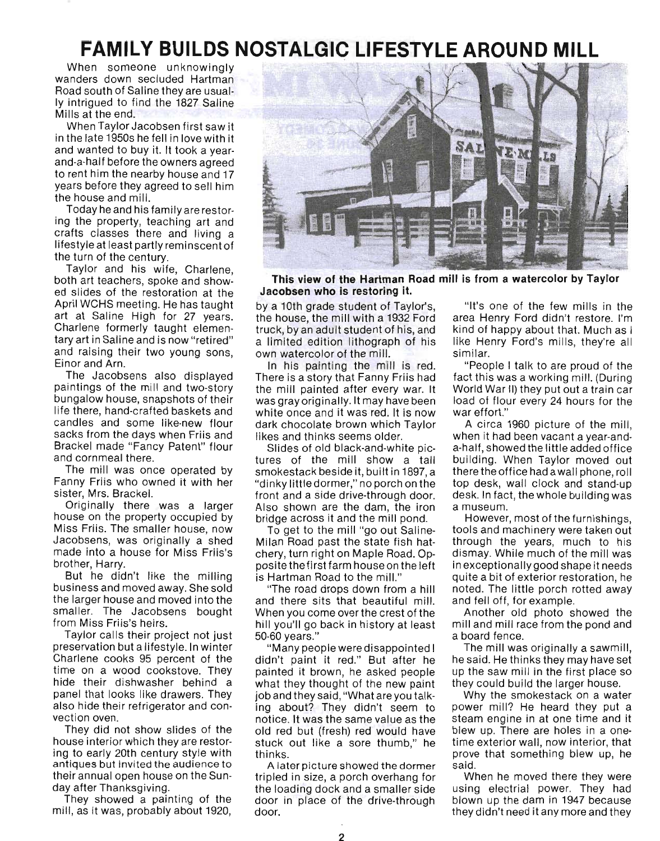# **FAMILY BUILDS NOSTALGIC LIFESTYLE AROUND MILL**

When someone unknowingly wanders down secluded Hartman Road south of Saline they are usually intrigued to find the 1827 Saline Mille at the end."<br>We at the end." When Taylor Jacobsen first saw it

in the late 1950s he fell in love with it and wanted to buy it. It took a yearand-a-half before the owners agreed to rent him the nearby house and 17 years before they agreed to sell him the house and mill.

Today he and his family are restoring the property, teaching art and ig the property, teaching art and<br>rofts closees there and living a I and that different and the most part of tostyle at least partly ref

Taylor and his wife, Charless, both art teachers, spoke and show-<br>other teachers, spoke and showboth art teachers, spoke and showed slides of the restoration at the April WCHS meeting. He has taught pin world meeting. He has taught. art at Saline High for 27 years.<br>Charlene formerly taught elementary art in Saline and is now "retired" and raising and is now retired. II Taising the Ji diju Alii.<br>boʻlgachaana alaa displayed

parties of the mill and two-story paintings of the mill and two-story bungalow house, snapshots of their<br>life there, hand-crafted baskets and candles and some like-new flowandles and some me-new nour auns from the uays when Frits and<br>reakel mede "Fency Petert" flows racher made rancy and cornmeal there.<br>The mill was once operated by

Frie Hill was once operated by anny Friis who own<br>ister Mrs. Brackel <sup>Or</sup>iginally there was a larger<br>Principally there was a larger

Originally there was a larger house on the property occupied by Miss Friis. The smaller house, now<br>Jacobsens, was originally a shed acobsens, was onginally a shed<br>rede into a house for Miss Friis's raue muu a nuu<br>rether, Herry.

brother, Harry.<br>But he didn't like the milling but he didn't like the mining usiness and moved away. She sold<br>So lorger house and moved into the smaller. The Jacobsens bought from Miss Friis's heirs.

from Miss Friis's heirs.<br>Taylor calls their project not just preservation but a lifestyle. In winter Economication but a mestyle. In writter Charlene cooks 95 percent of the<br>time on a wood cookstove. They hide their dishwasher behind a panel that looks like drawers. They alier that looks like drawers. They<br>loo hide their refrigerator and conalso hide their refrigerator and convection oven. They did not show slides of the

house interior which they are restorhouse interior which they are restoring to early 20th century style with antiques but invited the audience to their annual open house on the Sun-<br>day after Thanksgiving. after inanksgiving.<br>how showed a painting of the

mill, as it was, probably about 1920, the



. **This view of the Hartman Road mill is from a watercolor by Taylor Jacobsen who is restoring it.** 

by a 10th grade student of Taylor's, y a Tutti grade student of Taylor's, the house, the mill with a 1932 Ford<br>truck, by an adult student of his, and a limited edition lithograph of his mined edition minograph own watercolor of the mill.<br>In his painting the mill is red.

The mis-painting the Thin is red. there is a story that mannifermistian.<br>It mill painted after even war. It was mini-panned arter every war. It as gray originally. It indy nave been<br>thite once and it was red. It is now. dark chocolate brown which Taylor alik chocolate browli-which its<br>keelend thinks seems older. likes and thinks seems older.<br>- Slides of old black-and-white pic-

tures of the mill show a tall smokestack beside it, built in 1897, a "dinky little dormer," no porch on the front and a side drive-through door. ont and a side drive-through door. Also shown are the dam, the iron<br>bridge across it and the mill pond.

ge across it and the mill pond.<br>Sloot to the mill "go out Coline-Milan Road past the state fish hat-Milan Road past the state fish hatchery, turn right on Maple Road. Opposite the first farm house on the left is Hartman Road to the milL"

"The road drops down from a hill and there sits that beautiful mill.  $\mu$  when  $\sigma$  sits that beauther  $\mu$   $\mu$ . hill you'll go back in history at least ni you li go ba<br>0.00 years "

50-60 years."<br>"Many people were disappointed l didn't paint it red." But after he painted it brown, he asked people allited it blown, he asked people what they thought of the new paint<br>job and they said, "What are you talking about? They didn't seem to notice. It was the same value as the old red but (fresh) red would have stuck out like a sore thumb," he tuck ot A later picture showed the dormer

A fater picture showed the dormer tripled in size, a porch overhang for the loading dock and a smaller side door in place of the drive-through<br>door.

"It's one of the few mills in the area Henry Ford didn't restore. I'm kind of happy about that. Much as I like Henry Ford's mills, they're all n<del>o</del> rigili<br>Imilar "People I talk to are proud of the

fact this was a working mill. (During fact this was a working mill. (During<br>World War II) they put out a train car lol lot wat hij they put out a train car<br>ed of flour every 24 hours for the iau of fiour.<br>"Se offert." A circa 1960 picture of the mill,

when it had been vacant a year-anda-half, showed the little added office building. When Taylor moved out anding. Wilch Taylor Hoved Out top desk, wall clock and stand-up. desk. In fact, the whole building was esk. III lact, a museum.<br>However, most of the furnishings,

tools and machinery were taken out ous and machinery were taken out. through the years, much to his dismay. While much of the mill was<br>in exceptionally good shape it needs rexceptionally good shape it heeds.<br>wite a bit of exterior restoration, he ance a pit of exterior restoration, he  $\sim$ noted. The little porch rotted away<br>and fell off, for example.

Another old photo showed the mill and mill race from the pond and mill and mill race from the pond and<br>a board fence. The mill was originally a sawmill, who

he milli was originally a sawimit, he said. He thinks they may have set up the saw mill in the first place so<br>they could build the larger house.

why could build the larger house.<br>Thy the emokestack on a water power mill? He heard they put a power mill? He heard they put a steam engine in at one time and it blew up. There are holes in a one-<br>time exterior wall, now interior, that me exterior wan, now interior, that rove i<br>... when he moved there they were

using electrial power. They had using electrial power. They had blown up the dam in 1947 because<br>they didn't need it any more and they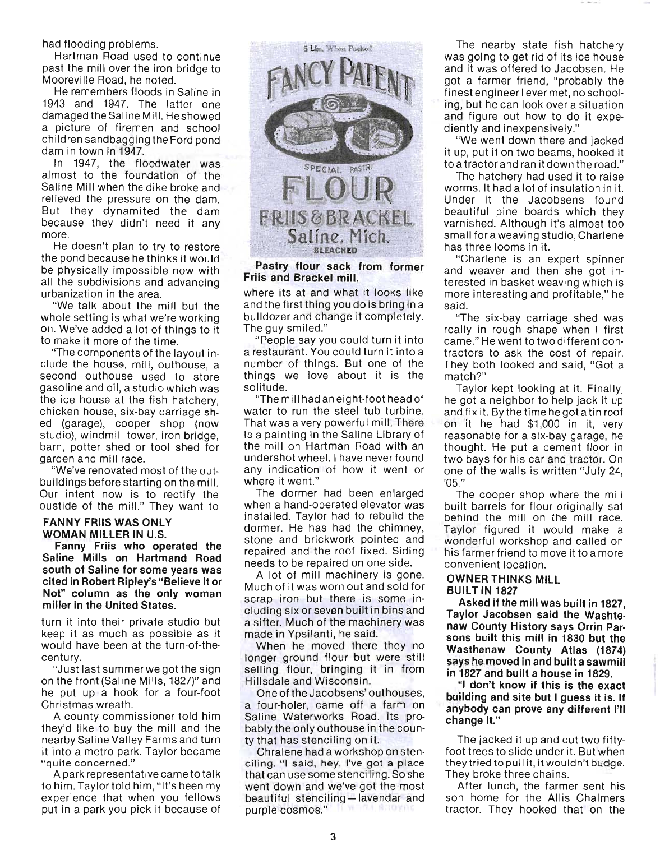had flooding problems.

Hartman Road used to continue past the mill over the iron bridge to Mooreville Road, he noted.

He remembers floods in Saline in 1943 and 1947. The latter one damaged the Saline Mill. He showed a picture of firemen and school children sandbagging the Ford pond dam in town in 1947.

In 1947, the floodwater was almost to the foundation of the Saline Mill when the dike broke and relieved the pressure on the dam. But they dynamited the dam because they didn't need it any more,

He doesn't plan to try to restore the pond because he thinks it would be physically impossible now with all the subdivisions and advancing urbanization in the area.

"We talk about the mill but the whole setting is what we're working on. We've added a lot of things to it to make it more of the time.

"The components of the layout include the house, mill, outhouse, a second outhouse used to store gasoline and oil, a studio which was the ice house at the fish hatchery, chicken house, six-bay carriage shed (garage), cooper shop (now studio), windmill tower, iron bridge, barn, potter shed or tool shed for garden and mill race.

"We've renovated most of the outbuildings before starting on the mill. Our intent now is to rectify the oustide of the mill." They want to

#### FANNY FRIIS WAS ONLY WOMAN MILLER IN U.S.

Fanny Friis who operated the Saline Mills on Hartmand Road south of Saline for some years was cited in Robert Ripley's "Believe It or Not" column as the only woman miller in the United States.

turn it into their private studio but keep it as much as possible as it would have been at the turn-of-thecentury.

"Just last summerwe got the sign on the front (Saline Mills, 1827)" and he put up a hook for a four-foot Christmas wreath.

A county commissioner told him they'd like to buy the mill and the nearby Saline Valley Farms and turn it into a metro park. Taylor became "quite concerned."

A park representative came to talk to him. Taylor told him, "It's been my experience that when you fellows put in a park you pick it because of



Pastry flour sack from former Friis and Brackel mill.

where its at and what it looks like and the first thing you do is bring in a bulldozer and change it completely. The guy smiled."

"People say you could turn it into a restaurant. You could turn it into a number of things. But one of the things we love about it is the solitude.

"The mill had an eight-foot head of water to run the steel tub turbine. That was a very powerful mill. There is a painting in the Saline Library of the mill on Hartman Road with an undershot wheel. I have never found any indication of how it went or where it went."

The dormer had been enlarged when a hand-operated elevator was installed. Taylor had to rebuild the dormer. He has had the chimney, stone and brickwork pointed and repaired and the roof fixed. Siding needs to be repaired on one side.

A lot of mill machinery is gone. Much of it was worn out and sold for scrap iron but there is some including six or seven built in bins and a sifter. Much of the machinery was made in YpSilanti, he said.

When he moved there they no longer ground flour but were still selling flour, bringing it in from Hillsdale and Wisconsin.

One of the Jacobsens' outhouses, a four-holer, came off a farm on Saline Waterworks Road. Its probably the only outhouse in the county that has stenciling on it.

Chralene had a workshop on stenciling. "I said, hey, I've got a place that can use some stenciling. So she went down and we've got the most beautiful stenciling-lavendar and T WINDS BROKER purple cosmos."

The nearby state fish hatchery was going to get rid of its ice house and it was offered to Jacobsen. He got a farmer friend, "probably the finest engineer I ever met, no schooling, but he can look over a situation and figure out how to do it expediently and inexpensively."

"We went down there and jacked it up, put it on two beams, hooked it to a tractor and ran it down the road."

The hatchery had used it to raise worms. It had a lot of insulation in it. Under it the Jacobsens found beautiful pine boards which they varnished. Although it's almost too small for a weaving studio, Charlene has three looms in it.

"Charlene is an expert spinner and weaver and then she got interested in basket weaving which is more interesting and profitable," he said.

"The six-bay carriage shed was really in rough shape when I first came." He went to two different contractors to ask the cost of repair. They both looked and said, "Got a match?"

Taylor kept looking at it. Finally, he got a neighbor to help jack it up and fix it. By the time he got a tin roof on it he had \$1 ,000 in it, very reasonable for a six-bay garage, he thought. He put a cement floor in two bays for his car and tractor. On one of the walls is written "July 24, '05."

The cooper shop where the mill built barrels for flour originally sat behind the mill on the mill race. Taylor figured it would make a wonderful workshop and called on his farmer friend to move it to a more convenient location.

#### OWNER THINKS MILL BUILT IN 1827

Asked if the mill was built in 1827, Taylor Jacobsen said the Washte· naw County History says Orrin Par· sons built this mill in 1830 but the Wasthenaw County Atlas (1874) says he moved in and built a sawmill in 1827 and built a house in 1829.

"I don't know if this is the exact building and site but I guess it is. If anybody can prove any different I'll change it."

The jacked it up and cut two fiftyfoot trees to slide under it. But when they tried to pull it, it wouldn't budge. They broke three chains.

After lunch, the farmer sent his son home for the Allis Chalmers tractor. They hooked that on the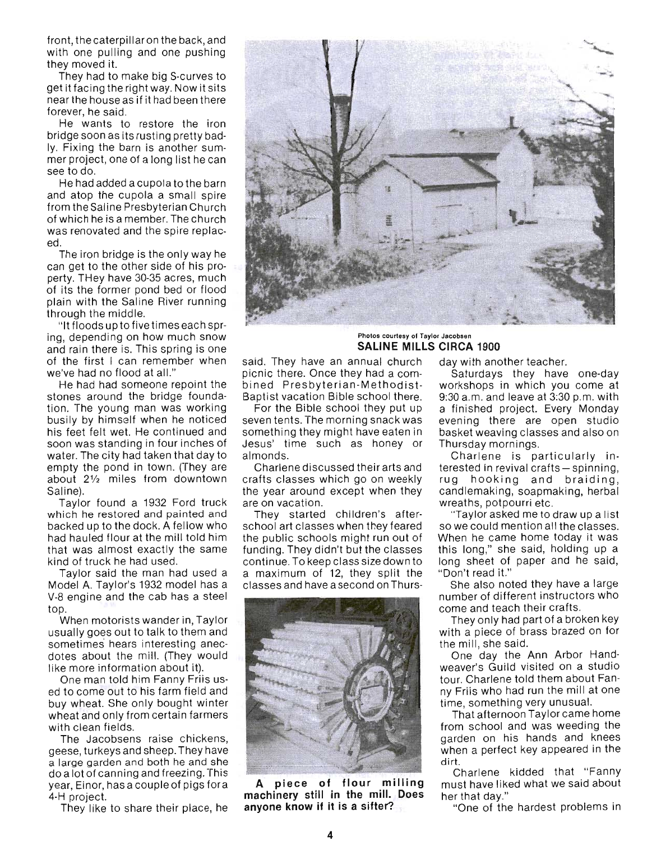front, the caterpillar on the back, and with one pulling and one pushing they moved it.

They had to make big S-curves to get it facing the right way. Now it sits near the house as if it had been there forever, he said.

He wants to restore the iron bridge soon as its rusting pretty badly. Fixing the barn is another summer project, one of a long list he can see to do.

He had added a cupola to the barn and atop the cupola a small spire from the Saline Presbyterian Church of which he is a member. The church was renovated and the spire replaced.

The iron bridge is the only way he can get to the other side of his property. THey have 30-35 acres, much of its the former pond bed or flood plain with the Saline River running through the middle.

"It floods up to five times each spring, depending on how much snow and rain there is. This spring is one of the first I can remember when we've had no flood at all."

He had had someone repoint the stones around the bridge foundation. The young man was working busily by himself when he noticed his feet felt wet. He continued and soon was standing in four inches of water. The city had taken that day to empty the pond in town. (They are about 2% miles from downtown Saline).

Taylor found a 1932 Ford truck which he restored and painted and backed up to the dock. A fellow who had hauled flour at the mill told him that was almost exactly the same kind of truck he had used.

Taylor said the man had used a Model A. Taylor's 1932 model has a V-8 engine and the cab has a steel top.

When motorists wander in, Taylor usually goes out to talk to them and sometimes hears interesting anecdotes about the mill. (They would like more information about it).

One man told him Fanny Friis used to come out to his farm field and buy wheat. She only bought winter wheat and only from certain farmers with clean fields.

The Jacobsens raise chickens, geese, turkeys and sheep. They have a large garden and both he and she do a lot of canning and freezing. This year, Einor, has a couple of pigs for a 4-H project.

They like to share their place, he



#### Photos courtesy of Taylor Jacobsen **SALINE MILLS CIRCA 1900**

said. They have an annual church picnic there. Once they had a combined Presbyterian-Methodist-Baptist vacation Bible school there.

For the Bible school they put up seven tents. The morning snack was something they might have eaten in Jesus' time such as honey or almonds.

Charlene discussed their arts and crafts classes which go on weekly the year around except when they are on vacation.

They started children's afterschool art classes when they feared the public schools might run out of funding. They didn't but the classes continue. To keep class size down to a maximum of 12, they split the classes and have a second on Thurs-



**A piece of flour milling machinery still in the milL Does anyone know if it is a sifter?** 

day with another teacher.

Saturdays they have one-day workshops in which you come at 9:30 a.m. and leave at 3:30 p.m. with a finished project. Every Monday evening there are open studio basket weaving classes and also on Thursday mornings.

Charlene is particularly interested in revival crafts - spinning, rug hooking and braiding, candlemaking, soapmaking, herbal wreaths, potpourri etc.

"Taylor asked me to draw up a list so we could mention all the classes. When he came home today it was this long," she said, holding up a long sheet of paper and he said, "Don't read it."

She also noted they have a large number of different instructors who come and teach their crafts.

They only had part of a broken key with a piece of brass brazed on for the mill, she said.

One day the Ann Arbor Handweaver's Guild visited on a studio tour. Charlene told them about Fanny Friis who had run the mill at one time, something very unusual.

That afternoon Taylor came home from school and was weeding the garden on his hands and knees when a perfect key appeared in the dirt.

Charlene kidded that "Fanny must have liked what we said about her that day."

"One of the hardest problems in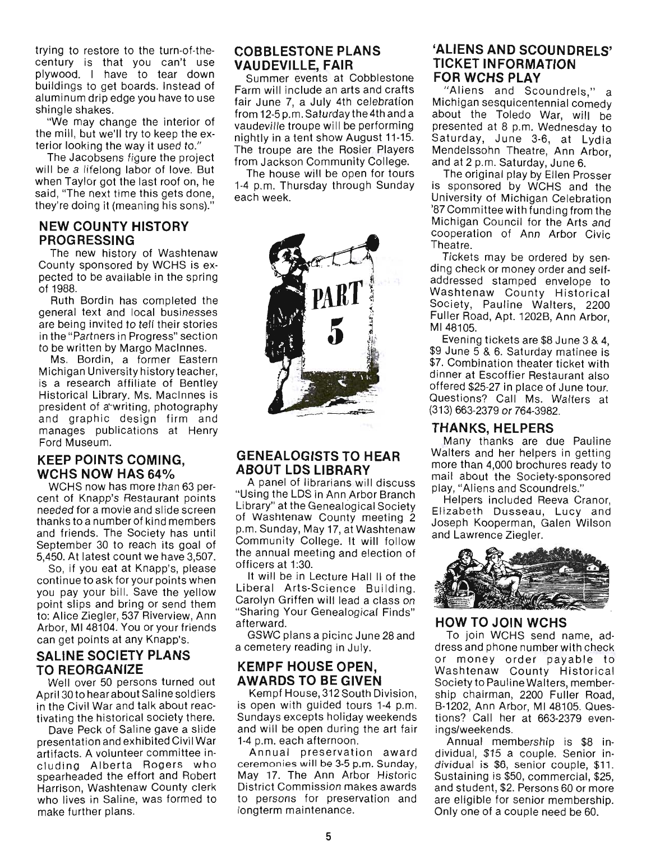trying to restore to the turn-of-thecentury is that you can't use plywood. I have to tear down buildings to get boards. Instead of aluminum drip edge you have to use shingle shakes.

"We may change the interior of the mill, but we'll try to keep the exterior looking the way it used to."

The Jacobsens figure the project will be a lifelong labor of love. But when Taylor got the last roof on, he said, "The next time this gets done, they're doing it (meaning his sons)."

#### **NEW COUNTY HISTORY PROGRESSING**

The new history of Washtenaw County sponsored by WCHS is expected to be available in the spring of 1988.

Ruth Bordin has completed the general text and local businesses are being invited to tell their stories in the "Partners in Progress" section to be written by Margo Macinnes.

Ms. Bordin, a former Eastern Michigan University history teacher, is a research affiliate of Bentley Historical Library. Ms. Macinnes is president of a'-writing, photography and graphic design firm and manages publications at Henry Ford Museum.

#### **KEEP POINTS COMING, WCHS NOW HAS 64%**

WCHS now has more than 63 percent of Knapp's Restaurant points needed for a movie and slide screen thanks to a number of kind members and friends. The Society has until September 30 to reach its goal of 5,450. At latest count we have 3,507.

So, if you eat at Knapp's, please continue to ask for your points when you pay your bill. Save the yellow point slips and bring or send them to: Alice Ziegler, 537 Riverview, Ann Arbor, MI 48104. You or your friends can get points at any Knapp's.

### **SALINE SOCIETY PLANS TO REORGANIZE**

Well over 50 persons turned out April30to hear about Saline soldiers in the Civil War and talk about reactivating the historical society there.

Dave Peck of Saline gave a slide presentation and exhibited Civil War artifacts. A volunteer committee inmacis. A volumed committee in-<br>uding Alberta Regers who cluding Alberta Rogers who<br>spearheaded the effort and Robert Harrison, Washtenaw County clerk who lives in Saline, was formed to make further plans.

### COBBLESTONE PLANS **VAUDEVILLE, FAIR**

Summer events at Cobblestone Farm will include an arts and crafts fair June 7, a July 4th celebration from 12-5 p.m. Saturday the 4th and a vaudeville troupe will be performing nightly in a tent show August 11-15. The troupe are the Rosier Players from Jackson Community College.

The house will be open for tours 1-4 p.m. Thursday through Sunday each week.



### **GENEALOGISTS TO HEAR ABOUT LOS LIBRARY**

A panel of librarians will discuss "Using the LOS in Ann Arbor Branch USING THE LOS IN ANIMATOOI BRANCH of Washtenaw County meeting 2 of Washtenaw County meeting 2<br>p.m. Sunday, May 17, at Washtenaw  $\sum_{i=1}^{n}$  College. It will follow UTHE CORPORATE ANNUAL TURNER the annual meeting and election of<br>officers at 1:30. It will be in Lecture Hall II of the

Liberal Arts-Science Building. Liberal Arts-Science Building.<br>Carolyn Griffen will lead a class on aroiyii Gifflefi wili lead a Ciass on<br>Sharing Your Cenealogical Finds" afterward.<br>Homised GSWC plans a picinc June 28 and

a cemetery reading in July.

#### **KEMPF HOUSE OPEN, AWARDS TO BE GIVEN**  Kempf House, 312 South Division,

 $\frac{1}{2}$   $\frac{1}{2}$   $\frac{1}{2}$   $\frac{1}{2}$   $\frac{1}{2}$   $\frac{1}{2}$   $\frac{1}{2}$   $\frac{1}{2}$   $\frac{1}{2}$   $\frac{1}{2}$   $\frac{1}{2}$   $\frac{1}{2}$   $\frac{1}{2}$   $\frac{1}{2}$   $\frac{1}{2}$   $\frac{1}{2}$   $\frac{1}{2}$   $\frac{1}{2}$   $\frac{1}{2}$   $\frac{1}{2}$   $\frac{1}{2}$   $\frac{1}{2}$  is open with guided tours 1-4 p.m. Sundays excepts holiday weekends and will be open during the art fair<br>1-4 p.m. each afternoon. ).m. each afternoon.<br>navel lareesrystien lewerd

Annuar preservation award ceremonies will be 3-5 p.m. Sunday, May 17. The Ann Arbor Historic<br>District Commission makes awards to persons for preservation and persons for preservative.<br>The maintenance.

#### **'ALIENS AND SCOUNDRELS' TICKET INFORMATION FOR WCHS PLAY**

"Aliens and Scoundrels," a Michigan and Scoundrels, a Michigan sesquicentennial comedy about the Toledo War, will be<br>presented at 8 p.m. Wednesday to  $\frac{1}{2}$  is set the  $\frac{1}{2}$  of  $\frac{1}{2}$  at  $\frac{1}{2}$  at  $\frac{1}{2}$  at  $\frac{1}{2}$  at  $\frac{1}{2}$  at  $\frac{1}{2}$  at  $\frac{1}{2}$  at  $\frac{1}{2}$  at  $\frac{1}{2}$  at  $\frac{1}{2}$  at  $\frac{1}{2}$  at  $\frac{1}{2}$  at  $\frac{1}{2}$  at  $\frac{1}{2}$  at  $\frac{1$ aturuay, Julie 3-6, at Lydia<br>Iendelseehe Theatre, Ann Arbor, Mendelssohn Theatre, Ann Arbor, and at 2 p.m. Saturday, June 6.

The original play by Ellen Prosser is sponsored by WCHS and the University of Michigan Celebration '87 Committee with funding from the Michigan Council for the Arts and cooperation of Ann Arbor Civic<br>Theatre. alie.<br>Selete may be ordered by

ding check or money ordered by senadressed stamped enveloped to the uuressed stamped envelope to Washtenaw County Historical Society, Pauline Walters, 2200 Fuller Road, Apt. 1202B, Ann Arbor,<br>MI 48105. Evening tickets are \$8 June 3 & 4,

 $\sim$  19 June 5  $\alpha$  G  $\alpha$  C  $\alpha$  Seturday mating is  $\alpha$  4,  $\frac{3}{7}$  Combination theater ticket with  $\frac{3}{7}$ dinner at Escoffier Restaurant also with dinner at Escoffier Restaurant also offered \$25-27 in place of June tour. Questions? Call Ms. Walters at<br>(313) 663-2379 or 764-3982.

#### **THANKS, HELPERS**  Many thanks are due Pauline

Walters and her helpers in getting Walters and her helpers in getting more than 4,000 brochures ready to mail about the Society-sponsored play, "Aliens and Scoundrels."

Helpers included Reeva Cranor, Elizabeth Dusseau, Lucy and Joseph Kooperman, Galen Wilson<br>and Lawrence Ziegler.



#### **HOW TO JOIN WCHS**  TO JOIN WUHS SEND NAME, AND NO SEND NAME, AND A

dress pour vous send name, address and phone number with check or money order payable to Washtenaw County Historical Society to Pauline Walters, membership chairman, 2200 Fuller Road, B-1202, Ann Arbor, MI 48105. Questions? Call her at 663-2379 even-<br>ings/weekends. Annual membership is \$8 in-

Allinual membership is \$8 individual, \$15 a couple. Senior individual is \$6, senior couple, \$11. Sustaining is \$50, commercial, \$25, and student, \$2. Persons 60 or more are eligible for senior membership.<br>Only one of a couple need be 60.